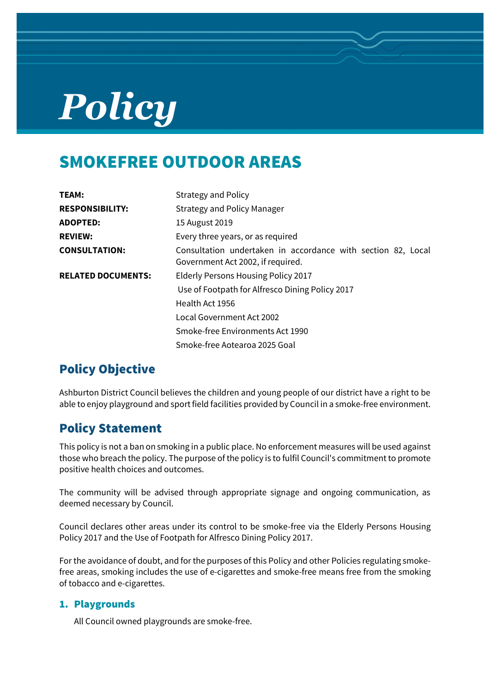# *Policy*

## SMOKEFREE OUTDOOR AREAS

| TEAM:                     | <b>Strategy and Policy</b>                                                                        |
|---------------------------|---------------------------------------------------------------------------------------------------|
| <b>RESPONSIBILITY:</b>    | <b>Strategy and Policy Manager</b>                                                                |
| <b>ADOPTED:</b>           | 15 August 2019                                                                                    |
| <b>REVIEW:</b>            | Every three years, or as required                                                                 |
| <b>CONSULTATION:</b>      | Consultation undertaken in accordance with section 82, Local<br>Government Act 2002, if required. |
| <b>RELATED DOCUMENTS:</b> | Elderly Persons Housing Policy 2017                                                               |
|                           | Use of Footpath for Alfresco Dining Policy 2017                                                   |
|                           | Health Act 1956                                                                                   |
|                           | Local Government Act 2002                                                                         |
|                           | Smoke-free Environments Act 1990                                                                  |
|                           | Smoke-free Aotearoa 2025 Goal                                                                     |

## Policy Objective

Ashburton District Council believes the children and young people of our district have a right to be able to enjoy playground and sport field facilities provided by Council in a smoke-free environment.

## Policy Statement

This policy is not a ban on smoking in a public place. No enforcement measures will be used against those who breach the policy. The purpose of the policy is to fulfil Council's commitment to promote positive health choices and outcomes.

The community will be advised through appropriate signage and ongoing communication, as deemed necessary by Council.

Council declares other areas under its control to be smoke-free via the Elderly Persons Housing Policy 2017 and the Use of Footpath for Alfresco Dining Policy 2017.

For the avoidance of doubt, and for the purposes of this Policy and other Policies regulating smokefree areas, smoking includes the use of e-cigarettes and smoke-free means free from the smoking of tobacco and e-cigarettes.

#### 1. Playgrounds

All Council owned playgrounds are smoke-free.